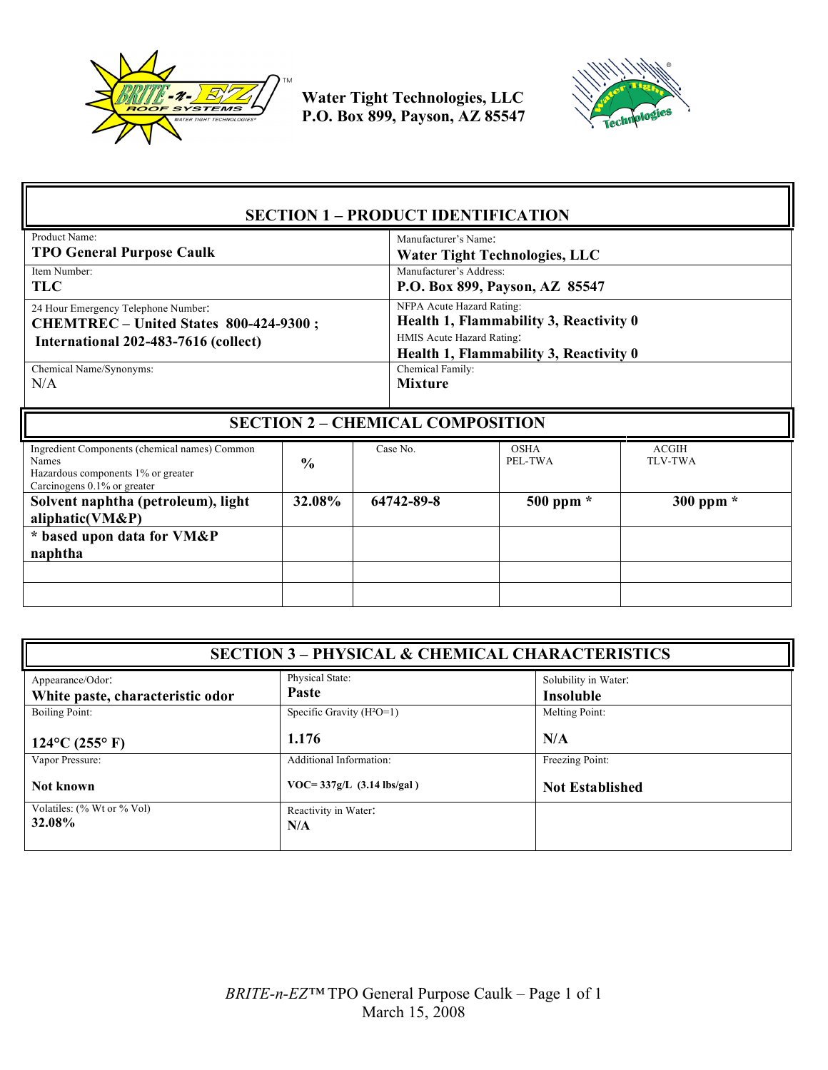



| <b>SECTION 1 - PRODUCT IDENTIFICATION</b>                                                                                   |               |                                         |                                                                                                                                            |                                |  |
|-----------------------------------------------------------------------------------------------------------------------------|---------------|-----------------------------------------|--------------------------------------------------------------------------------------------------------------------------------------------|--------------------------------|--|
| Product Name:<br><b>TPO General Purpose Caulk</b>                                                                           |               |                                         | Manufacturer's Name<br><b>Water Tight Technologies, LLC</b>                                                                                |                                |  |
| Item Number:<br><b>TLC</b>                                                                                                  |               |                                         | Manufacturer's Address:<br>P.O. Box 899, Payson, AZ 85547                                                                                  |                                |  |
| 24 Hour Emergency Telephone Number:<br>CHEMTREC - United States 800-424-9300;<br>International 202-483-7616 (collect)       |               |                                         | NFPA Acute Hazard Rating:<br>Health 1, Flammability 3, Reactivity 0<br>HMIS Acute Hazard Rating:<br>Health 1, Flammability 3, Reactivity 0 |                                |  |
| Chemical Name/Synonyms:<br>N/A                                                                                              |               | Chemical Family:<br><b>Mixture</b>      |                                                                                                                                            |                                |  |
|                                                                                                                             |               | <b>SECTION 2 - CHEMICAL COMPOSITION</b> |                                                                                                                                            |                                |  |
|                                                                                                                             |               |                                         |                                                                                                                                            |                                |  |
| Ingredient Components (chemical names) Common<br>Names<br>Hazardous components 1% or greater<br>Carcinogens 0.1% or greater | $\frac{0}{0}$ | Case No.                                | <b>OSHA</b><br>PEL-TWA                                                                                                                     | <b>ACGIH</b><br><b>TLV-TWA</b> |  |
| Solvent naphtha (petroleum), light<br>aliphatic(VM&P)                                                                       | 32.08%        | 64742-89-8                              | $500$ ppm $*$                                                                                                                              | 300 ppm *                      |  |
| * based upon data for VM&P<br>naphtha                                                                                       |               |                                         |                                                                                                                                            |                                |  |
|                                                                                                                             |               |                                         |                                                                                                                                            |                                |  |

| <b>SECTION 3 - PHYSICAL &amp; CHEMICAL CHARACTERISTICS</b> |                                                       |                                   |  |
|------------------------------------------------------------|-------------------------------------------------------|-----------------------------------|--|
| Appearance/Odor:<br>White paste, characteristic odor       | Physical State:<br>Paste                              | Solubility in Water:<br>Insoluble |  |
| Boiling Point:                                             | Specific Gravity $(H^2O=1)$<br>1.176                  | Melting Point:<br>N/A             |  |
| $124$ °C (255° F)<br>Vapor Pressure:                       | Additional Information:                               | Freezing Point:                   |  |
| Not known<br>Volatiles: (% Wt or % Vol)                    | $VOC = 337g/L$ (3.14 lbs/gal)<br>Reactivity in Water: | <b>Not Established</b>            |  |
| 32.08%                                                     | N/A                                                   |                                   |  |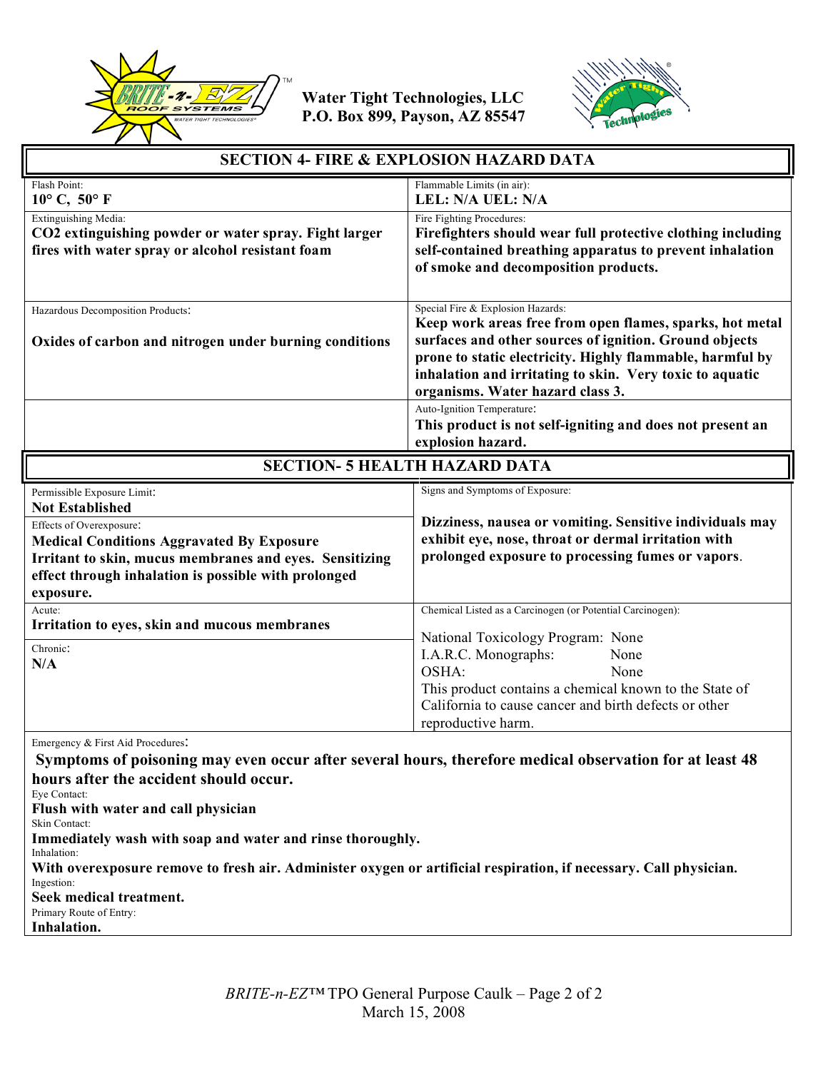



| <b>SECTION 4- FIRE &amp; EXPLOSION HAZARD DATA</b>                                                                                                                                                                                                                                                                                                                                                                                                                             |                                                                                                                                                                                                                                                                                                                      |  |
|--------------------------------------------------------------------------------------------------------------------------------------------------------------------------------------------------------------------------------------------------------------------------------------------------------------------------------------------------------------------------------------------------------------------------------------------------------------------------------|----------------------------------------------------------------------------------------------------------------------------------------------------------------------------------------------------------------------------------------------------------------------------------------------------------------------|--|
| Flash Point:<br>$10^{\circ}$ C, $50^{\circ}$ F                                                                                                                                                                                                                                                                                                                                                                                                                                 | Flammable Limits (in air):<br>LEL: N/A UEL: N/A                                                                                                                                                                                                                                                                      |  |
| Extinguishing Media:<br>CO2 extinguishing powder or water spray. Fight larger<br>fires with water spray or alcohol resistant foam                                                                                                                                                                                                                                                                                                                                              | Fire Fighting Procedures:<br>Firefighters should wear full protective clothing including<br>self-contained breathing apparatus to prevent inhalation<br>of smoke and decomposition products.                                                                                                                         |  |
| Hazardous Decomposition Products:<br>Oxides of carbon and nitrogen under burning conditions                                                                                                                                                                                                                                                                                                                                                                                    | Special Fire & Explosion Hazards:<br>Keep work areas free from open flames, sparks, hot metal<br>surfaces and other sources of ignition. Ground objects<br>prone to static electricity. Highly flammable, harmful by<br>inhalation and irritating to skin. Very toxic to aquatic<br>organisms. Water hazard class 3. |  |
|                                                                                                                                                                                                                                                                                                                                                                                                                                                                                | Auto-Ignition Temperature:<br>This product is not self-igniting and does not present an<br>explosion hazard.                                                                                                                                                                                                         |  |
|                                                                                                                                                                                                                                                                                                                                                                                                                                                                                | <b>SECTION- 5 HEALTH HAZARD DATA</b>                                                                                                                                                                                                                                                                                 |  |
| Permissible Exposure Limit:<br><b>Not Established</b><br>Effects of Overexposure:<br><b>Medical Conditions Aggravated By Exposure</b><br>Irritant to skin, mucus membranes and eyes. Sensitizing<br>effect through inhalation is possible with prolonged<br>exposure.                                                                                                                                                                                                          | Signs and Symptoms of Exposure:<br>Dizziness, nausea or vomiting. Sensitive individuals may<br>exhibit eye, nose, throat or dermal irritation with<br>prolonged exposure to processing fumes or vapors.                                                                                                              |  |
| Acute:<br>Irritation to eyes, skin and mucous membranes                                                                                                                                                                                                                                                                                                                                                                                                                        | Chemical Listed as a Carcinogen (or Potential Carcinogen):                                                                                                                                                                                                                                                           |  |
| Chronic:<br>N/A                                                                                                                                                                                                                                                                                                                                                                                                                                                                | National Toxicology Program: None<br>I.A.R.C. Monographs:<br>None<br>OSHA:<br>None<br>This product contains a chemical known to the State of<br>California to cause cancer and birth defects or other<br>reproductive harm.                                                                                          |  |
| Emergency & First Aid Procedures.<br>Symptoms of poisoning may even occur after several hours, therefore medical observation for at least 48<br>hours after the accident should occur.<br>Eye Contact:<br>Flush with water and call physician<br>Skin Contact:<br>Immediately wash with soap and water and rinse thoroughly.<br>Inhalation:<br>With overexposure remove to fresh air. Administer oxygen or artificial respiration, if necessary. Call physician.<br>Ingestion: |                                                                                                                                                                                                                                                                                                                      |  |

**Seek medical treatment.** 

Primary Route of Entry:

**Inhalation.**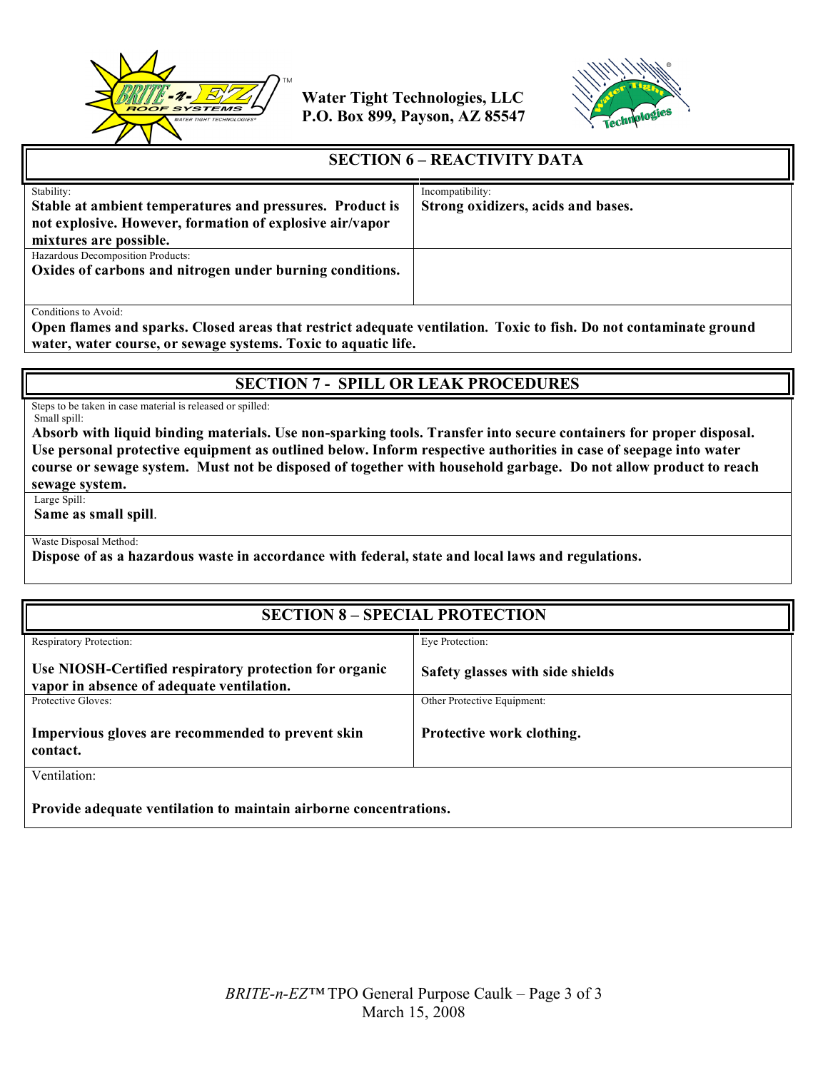



#### **SECTION 6 – REACTIVITY DATA**

| Stability:                                               | Incompatibility: |                                    |
|----------------------------------------------------------|------------------|------------------------------------|
| Stable at ambient temperatures and pressures. Product is |                  | Strong oxidizers, acids and bases. |
| not explosive. However, formation of explosive air/vapor |                  |                                    |
| mixtures are possible.                                   |                  |                                    |
| Hazardous Decomposition Products:                        |                  |                                    |
| Oxides of carbons and nitrogen under burning conditions. |                  |                                    |
|                                                          |                  |                                    |
|                                                          |                  |                                    |
| Conditions to Avoid:                                     |                  |                                    |

**Open flames and sparks. Closed areas that restrict adequate ventilation. Toxic to fish. Do not contaminate ground water, water course, or sewage systems. Toxic to aquatic life.**

## **SECTION 7 - SPILL OR LEAK PROCEDURES**

Steps to be taken in case material is released or spilled: Small spill:

**Absorb with liquid binding materials. Use non-sparking tools. Transfer into secure containers for proper disposal. Use personal protective equipment as outlined below. Inform respective authorities in case of seepage into water course or sewage system. Must not be disposed of together with household garbage. Do not allow product to reach sewage system.**

Large Spill:

**Same as small spill**.

Waste Disposal Method:

**Dispose of as a hazardous waste in accordance with federal, state and local laws and regulations.**

| <b>SECTION 8 - SPECIAL PROTECTION</b>                                                               |                                  |  |
|-----------------------------------------------------------------------------------------------------|----------------------------------|--|
| <b>Respiratory Protection:</b>                                                                      | Eve Protection:                  |  |
| Use NIOSH-Certified respiratory protection for organic<br>vapor in absence of adequate ventilation. | Safety glasses with side shields |  |
| Protective Gloves:                                                                                  | Other Protective Equipment:      |  |
| Impervious gloves are recommended to prevent skin<br>contact.                                       | Protective work clothing.        |  |
| Ventilation:                                                                                        |                                  |  |
| Provide adequate ventilation to maintain airborne concentrations.                                   |                                  |  |